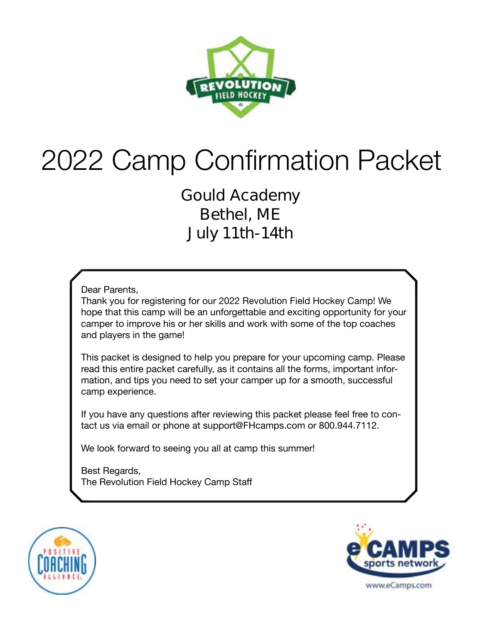

# 2022 Camp Confirmation Packet

**Gould Academy Bethel, ME July 11th-14th**

Dear Parents,

Thank you for registering for our 2022 Revolution Field Hockey Camp! We hope that this camp will be an unforgettable and exciting opportunity for your camper to improve his or her skills and work with some of the top coaches and players in the game!

This packet is designed to help you prepare for your upcoming camp. Please read this entire packet carefully, as it contains all the forms, important information, and tips you need to set your camper up for a smooth, successful camp experience.

If you have any questions after reviewing this packet please feel free to contact us via email or phone at support@FHcamps.com or 800.944.7112.

We look forward to seeing you all at camp this summer!

Best Regards, The Revolution Field Hockey Camp Staff



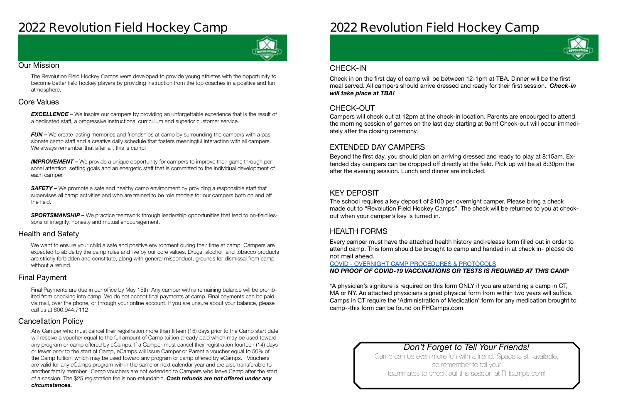# **2022 Revolution Field Hockey Camp**



#### Our Mission

The Revolution Field Hockey Camps were developed to provide young athletes with the opportunity to become better field hockey players by providing instruction from the top coaches in a positive and fun atmosphere.

#### Health and Safety

We want to ensure your child a safe and positive environment during their time at camp. Campers are expected to abide by the camp rules and live by our core values. Drugs, alcohol and tobacco products are strictly forbidden and constitute, along with general misconduct, grounds for dismissal from camp without a refund.

#### Cancellation Policy

#### Final Payment

**EXCELLENCE** – We inspire our campers by providing an unforgettable experience that is the result of a dedicated staff, a progressive instructional curriculum and superior customer service.

*FUN –* We create lasting memories and friendships at camp by surrounding the campers with a passionate camp staff and a creative daily schedule that fosters meaningful interaction with all campers. We always remember that after all, this is camp!

#### Core Values

**IMPROVEMENT** – We provide a unique opportunity for campers to improve their game through personal attention, setting goals and an energetic staff that is committed to the individual development of each camper.

**SAFETY** – We promote a safe and healthy camp environment by providing a responsible staff that supervises all camp activities and who are trained to be role models for our campers both on and off the field.

**SPORTSMANSHIP –** We practice teamwork through leadership opportunities that lead to on-field lessons of integrity, honesty and mutual encouragement.

> Camp can be even more fun with a friend. Space is still available, so remember to tell your teammates to check out this session at FHcamps.com!

Final Payments are due in our office by May 15th. Any camper with a remaining balance will be prohibited from checking into camp. We do not accept final payments at camp. Final payments can be paid via mail, over the phone, or through your online account. If you are unsure about your balance, please call us at 800.944.7112

Any Camper who must cancel their registration more than fifteen (15) days prior to the Camp start date will receive a voucher equal to the full amount of Camp tuition already paid which may be used toward any program or camp offered by eCamps. If a Camper must cancel their registration fourteen (14) days or fewer prior to the start of Camp, eCamps will issue Camper or Parent a voucher equal to 50% of the Camp tuition, which may be used toward any program or camp offered by eCamps. Vouchers are valid for any eCamps program within the same or next calendar year and are also transferable to another family member. Camp vouchers are not extended to Campers who leave Camp after the start of a session. The \$25 registration fee is non-refundable. *Cash refunds are not offered under any circumstances.*

# **2022 Revolution Field Hockey Camp**

### *Don't Forget to Tell Your Friends!*

#### CHECK-OUT

#### EXTENDED DAY CAMPERS

### KEY DEPOSIT

### HEALTH FORMS

Campers will check out at 12pm at the check-in location. Parents are encourged to attend the morning session of games on the last day starting at 9am! Check-out will occur immediately after the closing ceremony.

Beyond the first day, you should plan on arriving dressed and ready to play at 8:15am. Extended day campers can be dropped off directly at the field. Pick up will be at 8:30pm the after the evening session. Lunch and dinner are included.

The school requires a key deposit of \$100 per overnight camper. Please bring a check made out to "Revolution Field Hockey Camps". The check will be returned to you at checkout when your camper's key is turned in.

Every camper must have the attached health history and release form filled out in order to attend camp. This form should be brought to camp and handed in at check in- **please do not mail ahead**.

#### COVID - [OVERNIGHT CAMP PROCEDURES & PROTOCOLS](https://laxcamps.com/wp-content/uploads/COVID-19-eCamps-Sports-Network-Guidlines-Overnight-Camp.pdf) *NO PROOF OF COVID-19 VACCINATIONS OR TESTS IS REQUIRED AT THIS CAMP*

\*A physician's signiture is required on this form ONLY if you are attending a camp in CT, MA or NY. An attached physicians signed physical form from within two years will suffice. Camps in CT require the 'Administration of Medication' form for any medication brought to camp--this form can be found on FHCamps.com

#### CHECK-IN

Check in on the first day of camp will be between 12-1pm at TBA. Dinner will be the first meal served. All campers should arrive dressed and ready for their first session. *Check-in will take place at TBA!*